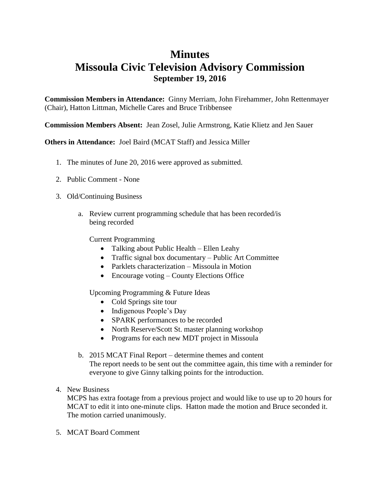## **Minutes Missoula Civic Television Advisory Commission September 19, 2016**

**Commission Members in Attendance:** Ginny Merriam, John Firehammer, John Rettenmayer (Chair), Hatton Littman, Michelle Cares and Bruce Tribbensee

**Commission Members Absent:** Jean Zosel, Julie Armstrong, Katie Klietz and Jen Sauer

**Others in Attendance:** Joel Baird (MCAT Staff) and Jessica Miller

- 1. The minutes of June 20, 2016 were approved as submitted.
- 2. Public Comment None
- 3. Old/Continuing Business
	- a. Review current programming schedule that has been recorded/is being recorded

Current Programming

- Talking about Public Health Ellen Leahy
- Traffic signal box documentary Public Art Committee
- Parklets characterization Missoula in Motion
- Encourage voting County Elections Office

Upcoming Programming & Future Ideas

- Cold Springs site tour
- Indigenous People's Day
- SPARK performances to be recorded
- North Reserve/Scott St. master planning workshop
- Programs for each new MDT project in Missoula
- b. 2015 MCAT Final Report determine themes and content The report needs to be sent out the committee again, this time with a reminder for everyone to give Ginny talking points for the introduction.
- 4. New Business

MCPS has extra footage from a previous project and would like to use up to 20 hours for MCAT to edit it into one-minute clips. Hatton made the motion and Bruce seconded it. The motion carried unanimously.

5. MCAT Board Comment